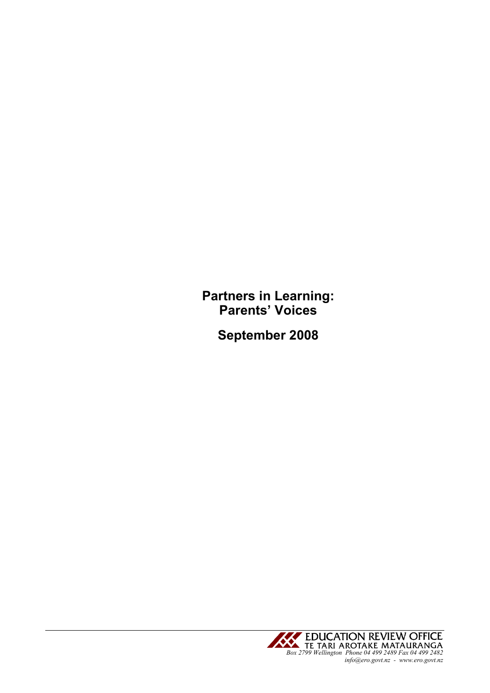Partners in Learning: Parents' Voices

September 2008

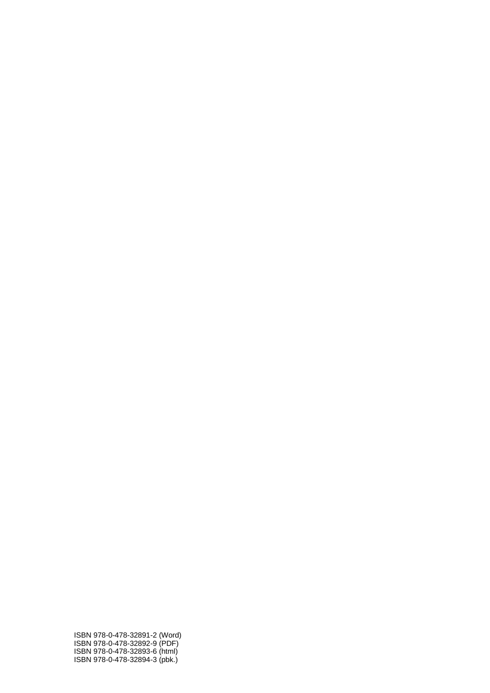ISBN 978-0-478-32891-2 (Word) ISBN 978-0-478-32892-9 (PDF) ISBN 978-0-478-32893-6 (html) ISBN 978-0-478-32894-3 (pbk.)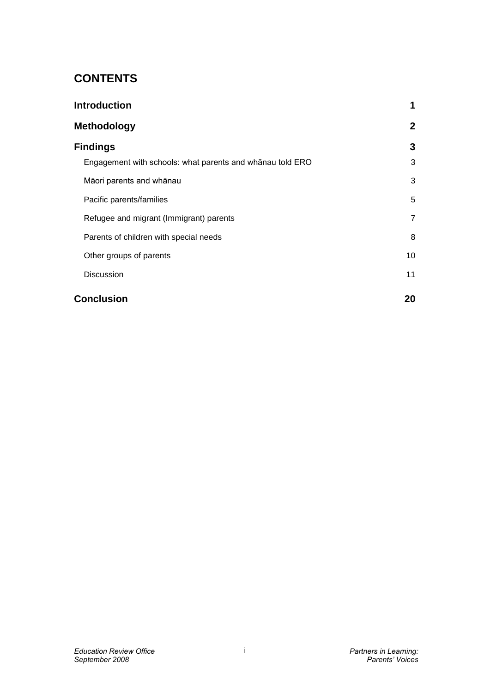# **CONTENTS**

| <b>Introduction</b><br><b>Methodology</b>                 | 1<br>$\mathbf{2}$ |
|-----------------------------------------------------------|-------------------|
|                                                           |                   |
| Engagement with schools: what parents and whanau told ERO | 3                 |
| Māori parents and whānau                                  | 3                 |
| Pacific parents/families                                  | 5                 |
| Refugee and migrant (Immigrant) parents                   | 7                 |
| Parents of children with special needs                    | 8                 |
| Other groups of parents                                   | 10                |
| <b>Discussion</b>                                         | 11                |
| <b>Conclusion</b>                                         | 20                |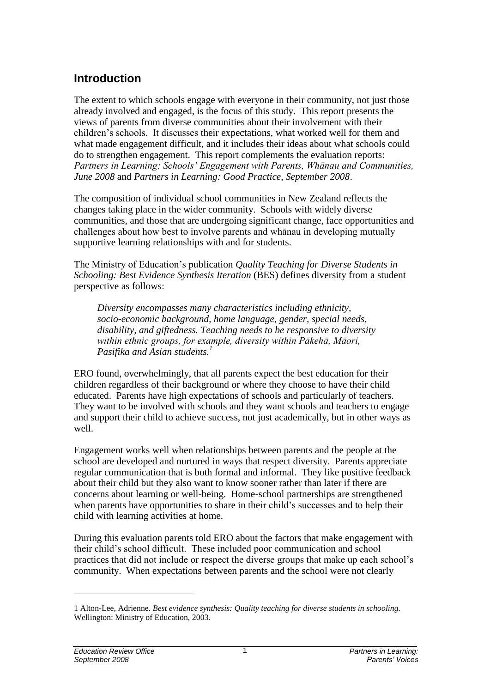## <span id="page-3-0"></span>**Introduction**

The extent to which schools engage with everyone in their community, not just those already involved and engaged, is the focus of this study. This report presents the views of parents from diverse communities about their involvement with their children"s schools. It discusses their expectations, what worked well for them and what made engagement difficult, and it includes their ideas about what schools could do to strengthen engagement. This report complements the evaluation reports: *Partners in Learning: Schools" Engagement with Parents, Whānau and Communities, June 2008* and *Partners in Learning: Good Practice, September 2008*.

The composition of individual school communities in New Zealand reflects the changes taking place in the wider community. Schools with widely diverse communities, and those that are undergoing significant change, face opportunities and challenges about how best to involve parents and whānau in developing mutually supportive learning relationships with and for students.

The Ministry of Education"s publication *Quality Teaching for Diverse Students in Schooling: Best Evidence Synthesis Iteration* (BES) defines diversity from a student perspective as follows:

*Diversity encompasses many characteristics including ethnicity, socio-economic background, home language, gender, special needs, disability, and giftedness. Teaching needs to be responsive to diversity within ethnic groups, for example, diversity within Pākehā, Māori, Pasifika and Asian students.<sup>1</sup>*

ERO found, overwhelmingly, that all parents expect the best education for their children regardless of their background or where they choose to have their child educated. Parents have high expectations of schools and particularly of teachers. They want to be involved with schools and they want schools and teachers to engage and support their child to achieve success, not just academically, but in other ways as well.

Engagement works well when relationships between parents and the people at the school are developed and nurtured in ways that respect diversity. Parents appreciate regular communication that is both formal and informal. They like positive feedback about their child but they also want to know sooner rather than later if there are concerns about learning or well-being. Home-school partnerships are strengthened when parents have opportunities to share in their child's successes and to help their child with learning activities at home.

During this evaluation parents told ERO about the factors that make engagement with their child"s school difficult. These included poor communication and school practices that did not include or respect the diverse groups that make up each school"s community. When expectations between parents and the school were not clearly

l

<sup>1</sup> Alton-Lee, Adrienne. *Best evidence synthesis: Quality teaching for diverse students in schooling.* Wellington: Ministry of Education, 2003.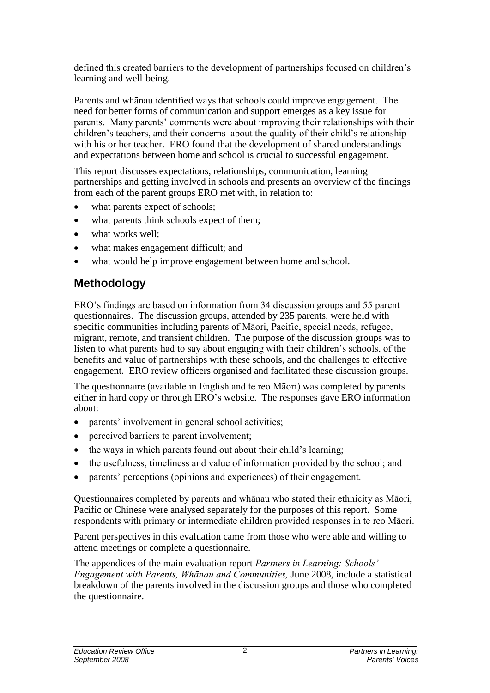defined this created barriers to the development of partnerships focused on children"s learning and well-being.

Parents and whānau identified ways that schools could improve engagement. The need for better forms of communication and support emerges as a key issue for parents. Many parents' comments were about improving their relationships with their children"s teachers, and their concerns about the quality of their child"s relationship with his or her teacher. ERO found that the development of shared understandings and expectations between home and school is crucial to successful engagement.

This report discusses expectations, relationships, communication, learning partnerships and getting involved in schools and presents an overview of the findings from each of the parent groups ERO met with, in relation to:

- what parents expect of schools;
- what parents think schools expect of them;
- what works well:
- what makes engagement difficult; and
- what would help improve engagement between home and school.

## <span id="page-4-0"></span>**Methodology**

ERO"s findings are based on information from 34 discussion groups and 55 parent questionnaires. The discussion groups, attended by 235 parents, were held with specific communities including parents of Māori, Pacific, special needs, refugee, migrant, remote, and transient children. The purpose of the discussion groups was to listen to what parents had to say about engaging with their children"s schools, of the benefits and value of partnerships with these schools, and the challenges to effective engagement. ERO review officers organised and facilitated these discussion groups.

The questionnaire (available in English and te reo Māori) was completed by parents either in hard copy or through ERO"s website. The responses gave ERO information about:

- parents' involvement in general school activities;
- perceived barriers to parent involvement;
- the ways in which parents found out about their child's learning;
- the usefulness, timeliness and value of information provided by the school; and
- parents' perceptions (opinions and experiences) of their engagement.

Questionnaires completed by parents and whānau who stated their ethnicity as Māori, Pacific or Chinese were analysed separately for the purposes of this report. Some respondents with primary or intermediate children provided responses in te reo Māori.

Parent perspectives in this evaluation came from those who were able and willing to attend meetings or complete a questionnaire.

The appendices of the main evaluation report *Partners in Learning: Schools" Engagement with Parents, Whānau and Communities,* June 2008, include a statistical breakdown of the parents involved in the discussion groups and those who completed the questionnaire.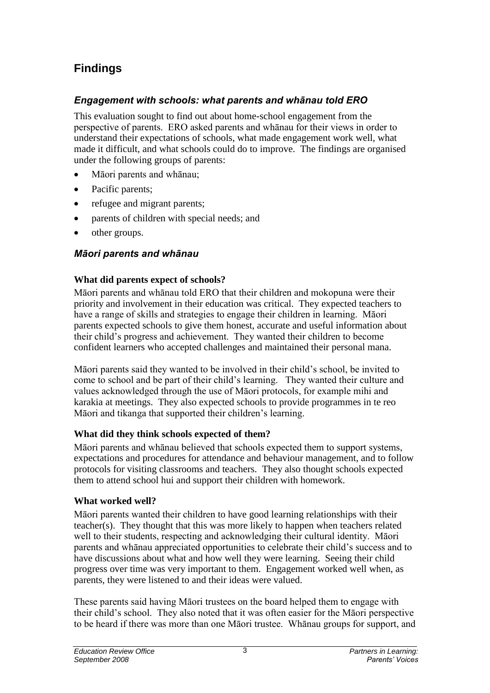# <span id="page-5-0"></span>**Findings**

## <span id="page-5-1"></span>*Engagement with schools: what parents and whānau told ERO*

This evaluation sought to find out about home-school engagement from the perspective of parents. ERO asked parents and whānau for their views in order to understand their expectations of schools, what made engagement work well, what made it difficult, and what schools could do to improve. The findings are organised under the following groups of parents:

- Māori parents and whānau;
- Pacific parents;
- refugee and migrant parents;
- parents of children with special needs; and
- other groups.

## <span id="page-5-2"></span>*Māori parents and whānau*

## **What did parents expect of schools?**

Māori parents and whānau told ERO that their children and mokopuna were their priority and involvement in their education was critical. They expected teachers to have a range of skills and strategies to engage their children in learning. Māori parents expected schools to give them honest, accurate and useful information about their child"s progress and achievement. They wanted their children to become confident learners who accepted challenges and maintained their personal mana.

Māori parents said they wanted to be involved in their child"s school, be invited to come to school and be part of their child"s learning. They wanted their culture and values acknowledged through the use of Māori protocols, for example mihi and karakia at meetings. They also expected schools to provide programmes in te reo Māori and tikanga that supported their children"s learning.

## **What did they think schools expected of them?**

Māori parents and whānau believed that schools expected them to support systems, expectations and procedures for attendance and behaviour management, and to follow protocols for visiting classrooms and teachers. They also thought schools expected them to attend school hui and support their children with homework.

## **What worked well?**

Māori parents wanted their children to have good learning relationships with their teacher(s). They thought that this was more likely to happen when teachers related well to their students, respecting and acknowledging their cultural identity. Māori parents and whānau appreciated opportunities to celebrate their child"s success and to have discussions about what and how well they were learning. Seeing their child progress over time was very important to them. Engagement worked well when, as parents, they were listened to and their ideas were valued.

These parents said having Māori trustees on the board helped them to engage with their child"s school. They also noted that it was often easier for the Māori perspective to be heard if there was more than one Māori trustee. Whānau groups for support, and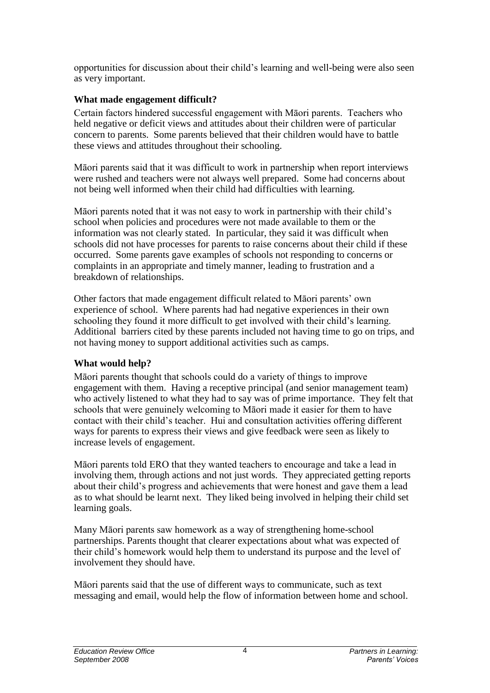opportunities for discussion about their child"s learning and well-being were also seen as very important.

## **What made engagement difficult?**

Certain factors hindered successful engagement with Māori parents. Teachers who held negative or deficit views and attitudes about their children were of particular concern to parents. Some parents believed that their children would have to battle these views and attitudes throughout their schooling.

Māori parents said that it was difficult to work in partnership when report interviews were rushed and teachers were not always well prepared. Some had concerns about not being well informed when their child had difficulties with learning.

Māori parents noted that it was not easy to work in partnership with their child"s school when policies and procedures were not made available to them or the information was not clearly stated. In particular, they said it was difficult when schools did not have processes for parents to raise concerns about their child if these occurred. Some parents gave examples of schools not responding to concerns or complaints in an appropriate and timely manner, leading to frustration and a breakdown of relationships.

Other factors that made engagement difficult related to Māori parents" own experience of school. Where parents had had negative experiences in their own schooling they found it more difficult to get involved with their child"s learning. Additional barriers cited by these parents included not having time to go on trips, and not having money to support additional activities such as camps.

## **What would help?**

Māori parents thought that schools could do a variety of things to improve engagement with them. Having a receptive principal (and senior management team) who actively listened to what they had to say was of prime importance. They felt that schools that were genuinely welcoming to Māori made it easier for them to have contact with their child"s teacher. Hui and consultation activities offering different ways for parents to express their views and give feedback were seen as likely to increase levels of engagement.

Māori parents told ERO that they wanted teachers to encourage and take a lead in involving them, through actions and not just words. They appreciated getting reports about their child"s progress and achievements that were honest and gave them a lead as to what should be learnt next. They liked being involved in helping their child set learning goals.

Many Māori parents saw homework as a way of strengthening home-school partnerships. Parents thought that clearer expectations about what was expected of their child"s homework would help them to understand its purpose and the level of involvement they should have.

Māori parents said that the use of different ways to communicate, such as text messaging and email, would help the flow of information between home and school.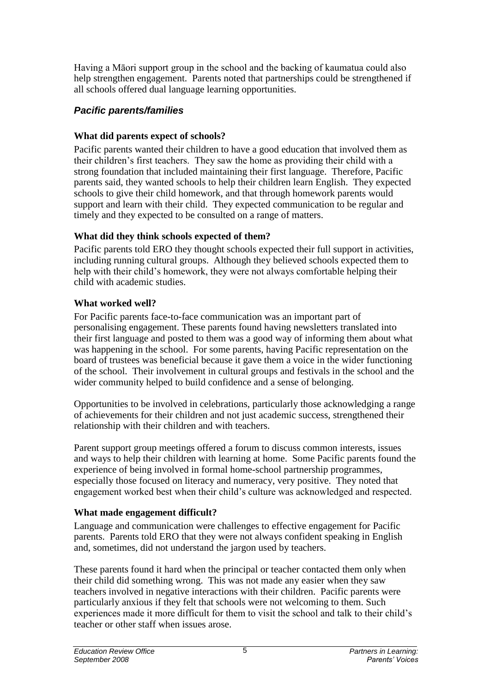Having a Māori support group in the school and the backing of kaumatua could also help strengthen engagement. Parents noted that partnerships could be strengthened if all schools offered dual language learning opportunities.

## <span id="page-7-0"></span>*Pacific parents/families*

## **What did parents expect of schools?**

Pacific parents wanted their children to have a good education that involved them as their children"s first teachers. They saw the home as providing their child with a strong foundation that included maintaining their first language. Therefore, Pacific parents said, they wanted schools to help their children learn English. They expected schools to give their child homework, and that through homework parents would support and learn with their child. They expected communication to be regular and timely and they expected to be consulted on a range of matters.

## **What did they think schools expected of them?**

Pacific parents told ERO they thought schools expected their full support in activities, including running cultural groups. Although they believed schools expected them to help with their child"s homework, they were not always comfortable helping their child with academic studies.

## **What worked well?**

For Pacific parents face-to-face communication was an important part of personalising engagement. These parents found having newsletters translated into their first language and posted to them was a good way of informing them about what was happening in the school. For some parents, having Pacific representation on the board of trustees was beneficial because it gave them a voice in the wider functioning of the school. Their involvement in cultural groups and festivals in the school and the wider community helped to build confidence and a sense of belonging.

Opportunities to be involved in celebrations, particularly those acknowledging a range of achievements for their children and not just academic success, strengthened their relationship with their children and with teachers.

Parent support group meetings offered a forum to discuss common interests, issues and ways to help their children with learning at home. Some Pacific parents found the experience of being involved in formal home-school partnership programmes, especially those focused on literacy and numeracy, very positive. They noted that engagement worked best when their child"s culture was acknowledged and respected.

## **What made engagement difficult?**

Language and communication were challenges to effective engagement for Pacific parents. Parents told ERO that they were not always confident speaking in English and, sometimes, did not understand the jargon used by teachers.

These parents found it hard when the principal or teacher contacted them only when their child did something wrong. This was not made any easier when they saw teachers involved in negative interactions with their children. Pacific parents were particularly anxious if they felt that schools were not welcoming to them. Such experiences made it more difficult for them to visit the school and talk to their child"s teacher or other staff when issues arose.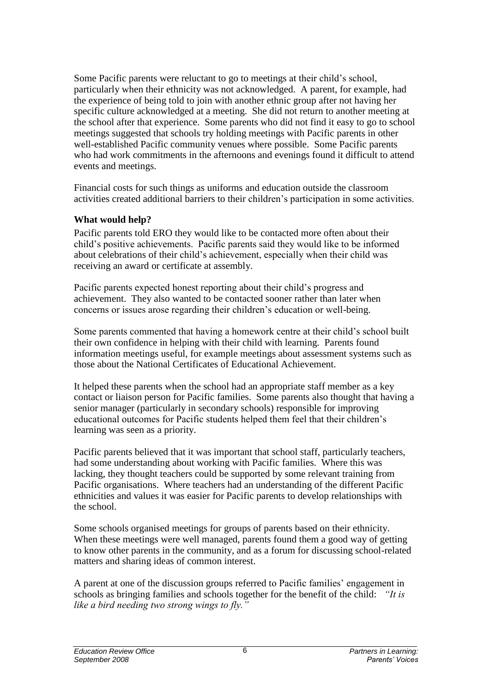Some Pacific parents were reluctant to go to meetings at their child's school, particularly when their ethnicity was not acknowledged. A parent, for example, had the experience of being told to join with another ethnic group after not having her specific culture acknowledged at a meeting. She did not return to another meeting at the school after that experience. Some parents who did not find it easy to go to school meetings suggested that schools try holding meetings with Pacific parents in other well-established Pacific community venues where possible. Some Pacific parents who had work commitments in the afternoons and evenings found it difficult to attend events and meetings.

Financial costs for such things as uniforms and education outside the classroom activities created additional barriers to their children"s participation in some activities.

#### **What would help?**

Pacific parents told ERO they would like to be contacted more often about their child"s positive achievements. Pacific parents said they would like to be informed about celebrations of their child"s achievement, especially when their child was receiving an award or certificate at assembly.

Pacific parents expected honest reporting about their child"s progress and achievement. They also wanted to be contacted sooner rather than later when concerns or issues arose regarding their children"s education or well-being.

Some parents commented that having a homework centre at their child"s school built their own confidence in helping with their child with learning. Parents found information meetings useful, for example meetings about assessment systems such as those about the National Certificates of Educational Achievement.

It helped these parents when the school had an appropriate staff member as a key contact or liaison person for Pacific families. Some parents also thought that having a senior manager (particularly in secondary schools) responsible for improving educational outcomes for Pacific students helped them feel that their children"s learning was seen as a priority.

Pacific parents believed that it was important that school staff, particularly teachers, had some understanding about working with Pacific families. Where this was lacking, they thought teachers could be supported by some relevant training from Pacific organisations. Where teachers had an understanding of the different Pacific ethnicities and values it was easier for Pacific parents to develop relationships with the school.

Some schools organised meetings for groups of parents based on their ethnicity. When these meetings were well managed, parents found them a good way of getting to know other parents in the community, and as a forum for discussing school-related matters and sharing ideas of common interest.

A parent at one of the discussion groups referred to Pacific families" engagement in schools as bringing families and schools together for the benefit of the child: *"It is like a bird needing two strong wings to fly."*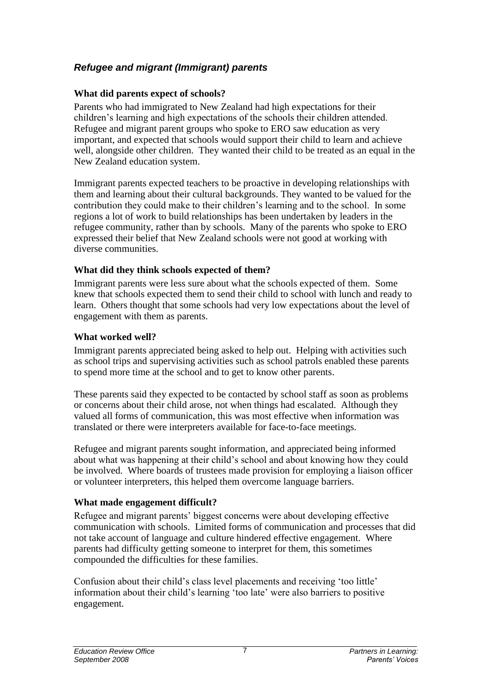## <span id="page-9-0"></span>*Refugee and migrant (Immigrant) parents*

## **What did parents expect of schools?**

Parents who had immigrated to New Zealand had high expectations for their children"s learning and high expectations of the schools their children attended. Refugee and migrant parent groups who spoke to ERO saw education as very important, and expected that schools would support their child to learn and achieve well, alongside other children. They wanted their child to be treated as an equal in the New Zealand education system.

Immigrant parents expected teachers to be proactive in developing relationships with them and learning about their cultural backgrounds. They wanted to be valued for the contribution they could make to their children"s learning and to the school. In some regions a lot of work to build relationships has been undertaken by leaders in the refugee community, rather than by schools. Many of the parents who spoke to ERO expressed their belief that New Zealand schools were not good at working with diverse communities.

## **What did they think schools expected of them?**

Immigrant parents were less sure about what the schools expected of them. Some knew that schools expected them to send their child to school with lunch and ready to learn. Others thought that some schools had very low expectations about the level of engagement with them as parents.

## **What worked well?**

Immigrant parents appreciated being asked to help out. Helping with activities such as school trips and supervising activities such as school patrols enabled these parents to spend more time at the school and to get to know other parents.

These parents said they expected to be contacted by school staff as soon as problems or concerns about their child arose, not when things had escalated. Although they valued all forms of communication, this was most effective when information was translated or there were interpreters available for face-to-face meetings.

Refugee and migrant parents sought information, and appreciated being informed about what was happening at their child"s school and about knowing how they could be involved. Where boards of trustees made provision for employing a liaison officer or volunteer interpreters, this helped them overcome language barriers.

## **What made engagement difficult?**

Refugee and migrant parents" biggest concerns were about developing effective communication with schools. Limited forms of communication and processes that did not take account of language and culture hindered effective engagement. Where parents had difficulty getting someone to interpret for them, this sometimes compounded the difficulties for these families.

Confusion about their child"s class level placements and receiving "too little" information about their child"s learning "too late" were also barriers to positive engagement.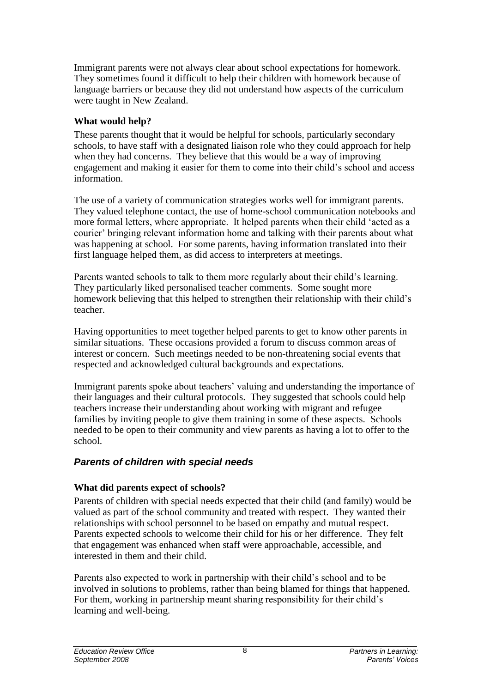Immigrant parents were not always clear about school expectations for homework. They sometimes found it difficult to help their children with homework because of language barriers or because they did not understand how aspects of the curriculum were taught in New Zealand.

#### **What would help?**

These parents thought that it would be helpful for schools, particularly secondary schools, to have staff with a designated liaison role who they could approach for help when they had concerns. They believe that this would be a way of improving engagement and making it easier for them to come into their child"s school and access information.

The use of a variety of communication strategies works well for immigrant parents. They valued telephone contact, the use of home-school communication notebooks and more formal letters, where appropriate. It helped parents when their child "acted as a courier" bringing relevant information home and talking with their parents about what was happening at school. For some parents, having information translated into their first language helped them, as did access to interpreters at meetings.

Parents wanted schools to talk to them more regularly about their child"s learning. They particularly liked personalised teacher comments. Some sought more homework believing that this helped to strengthen their relationship with their child"s teacher.

Having opportunities to meet together helped parents to get to know other parents in similar situations. These occasions provided a forum to discuss common areas of interest or concern. Such meetings needed to be non-threatening social events that respected and acknowledged cultural backgrounds and expectations.

Immigrant parents spoke about teachers" valuing and understanding the importance of their languages and their cultural protocols. They suggested that schools could help teachers increase their understanding about working with migrant and refugee families by inviting people to give them training in some of these aspects. Schools needed to be open to their community and view parents as having a lot to offer to the school.

## <span id="page-10-0"></span>*Parents of children with special needs*

## **What did parents expect of schools?**

Parents of children with special needs expected that their child (and family) would be valued as part of the school community and treated with respect. They wanted their relationships with school personnel to be based on empathy and mutual respect. Parents expected schools to welcome their child for his or her difference. They felt that engagement was enhanced when staff were approachable, accessible, and interested in them and their child.

Parents also expected to work in partnership with their child"s school and to be involved in solutions to problems, rather than being blamed for things that happened. For them, working in partnership meant sharing responsibility for their child"s learning and well-being.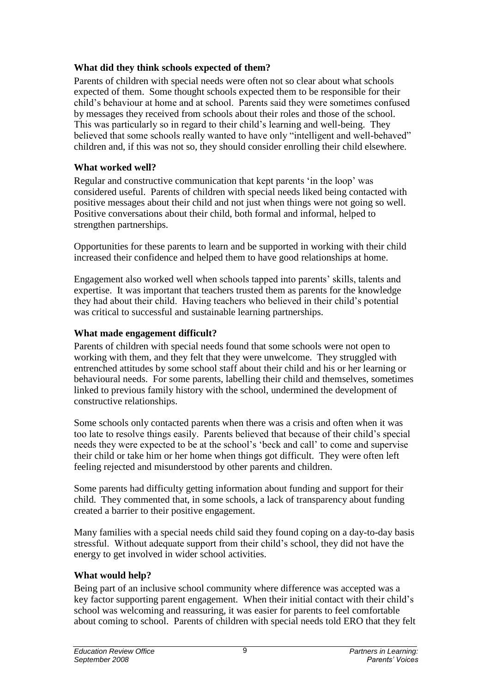## **What did they think schools expected of them?**

Parents of children with special needs were often not so clear about what schools expected of them. Some thought schools expected them to be responsible for their child"s behaviour at home and at school. Parents said they were sometimes confused by messages they received from schools about their roles and those of the school. This was particularly so in regard to their child"s learning and well-being. They believed that some schools really wanted to have only "intelligent and well-behaved" children and, if this was not so, they should consider enrolling their child elsewhere.

## **What worked well?**

Regular and constructive communication that kept parents "in the loop" was considered useful. Parents of children with special needs liked being contacted with positive messages about their child and not just when things were not going so well. Positive conversations about their child, both formal and informal, helped to strengthen partnerships.

Opportunities for these parents to learn and be supported in working with their child increased their confidence and helped them to have good relationships at home.

Engagement also worked well when schools tapped into parents" skills, talents and expertise. It was important that teachers trusted them as parents for the knowledge they had about their child. Having teachers who believed in their child"s potential was critical to successful and sustainable learning partnerships.

## **What made engagement difficult?**

Parents of children with special needs found that some schools were not open to working with them, and they felt that they were unwelcome. They struggled with entrenched attitudes by some school staff about their child and his or her learning or behavioural needs. For some parents, labelling their child and themselves, sometimes linked to previous family history with the school, undermined the development of constructive relationships.

Some schools only contacted parents when there was a crisis and often when it was too late to resolve things easily. Parents believed that because of their child"s special needs they were expected to be at the school"s "beck and call" to come and supervise their child or take him or her home when things got difficult. They were often left feeling rejected and misunderstood by other parents and children.

Some parents had difficulty getting information about funding and support for their child. They commented that, in some schools, a lack of transparency about funding created a barrier to their positive engagement.

Many families with a special needs child said they found coping on a day-to-day basis stressful. Without adequate support from their child"s school, they did not have the energy to get involved in wider school activities.

## **What would help?**

Being part of an inclusive school community where difference was accepted was a key factor supporting parent engagement. When their initial contact with their child's school was welcoming and reassuring, it was easier for parents to feel comfortable about coming to school. Parents of children with special needs told ERO that they felt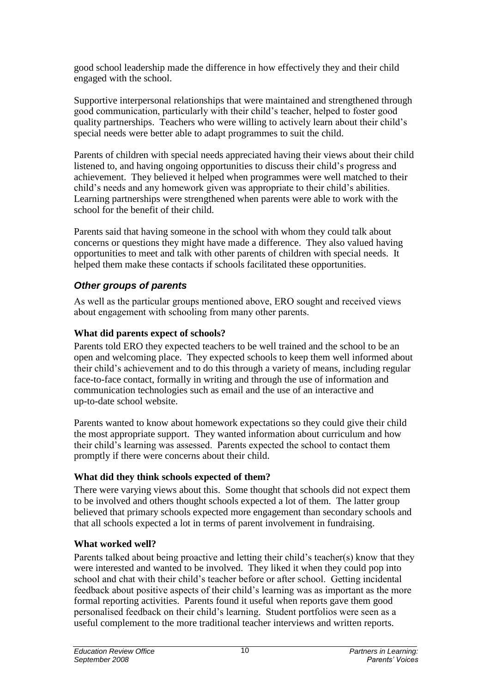good school leadership made the difference in how effectively they and their child engaged with the school.

Supportive interpersonal relationships that were maintained and strengthened through good communication, particularly with their child"s teacher, helped to foster good quality partnerships. Teachers who were willing to actively learn about their child"s special needs were better able to adapt programmes to suit the child.

Parents of children with special needs appreciated having their views about their child listened to, and having ongoing opportunities to discuss their child"s progress and achievement. They believed it helped when programmes were well matched to their child"s needs and any homework given was appropriate to their child"s abilities. Learning partnerships were strengthened when parents were able to work with the school for the benefit of their child.

Parents said that having someone in the school with whom they could talk about concerns or questions they might have made a difference. They also valued having opportunities to meet and talk with other parents of children with special needs. It helped them make these contacts if schools facilitated these opportunities.

## <span id="page-12-0"></span>*Other groups of parents*

As well as the particular groups mentioned above, ERO sought and received views about engagement with schooling from many other parents.

## **What did parents expect of schools?**

Parents told ERO they expected teachers to be well trained and the school to be an open and welcoming place. They expected schools to keep them well informed about their child"s achievement and to do this through a variety of means, including regular face-to-face contact, formally in writing and through the use of information and communication technologies such as email and the use of an interactive and up-to-date school website.

Parents wanted to know about homework expectations so they could give their child the most appropriate support. They wanted information about curriculum and how their child"s learning was assessed. Parents expected the school to contact them promptly if there were concerns about their child.

## **What did they think schools expected of them?**

There were varying views about this. Some thought that schools did not expect them to be involved and others thought schools expected a lot of them. The latter group believed that primary schools expected more engagement than secondary schools and that all schools expected a lot in terms of parent involvement in fundraising.

## **What worked well?**

Parents talked about being proactive and letting their child"s teacher(s) know that they were interested and wanted to be involved. They liked it when they could pop into school and chat with their child"s teacher before or after school. Getting incidental feedback about positive aspects of their child"s learning was as important as the more formal reporting activities. Parents found it useful when reports gave them good personalised feedback on their child"s learning. Student portfolios were seen as a useful complement to the more traditional teacher interviews and written reports.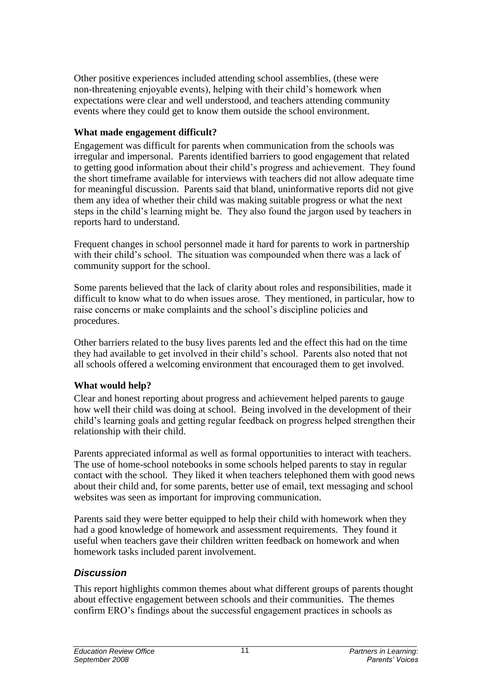Other positive experiences included attending school assemblies, (these were non-threatening enjoyable events), helping with their child"s homework when expectations were clear and well understood, and teachers attending community events where they could get to know them outside the school environment.

#### **What made engagement difficult?**

Engagement was difficult for parents when communication from the schools was irregular and impersonal. Parents identified barriers to good engagement that related to getting good information about their child"s progress and achievement. They found the short timeframe available for interviews with teachers did not allow adequate time for meaningful discussion. Parents said that bland, uninformative reports did not give them any idea of whether their child was making suitable progress or what the next steps in the child"s learning might be. They also found the jargon used by teachers in reports hard to understand.

Frequent changes in school personnel made it hard for parents to work in partnership with their child's school. The situation was compounded when there was a lack of community support for the school.

Some parents believed that the lack of clarity about roles and responsibilities, made it difficult to know what to do when issues arose. They mentioned, in particular, how to raise concerns or make complaints and the school"s discipline policies and procedures.

Other barriers related to the busy lives parents led and the effect this had on the time they had available to get involved in their child"s school. Parents also noted that not all schools offered a welcoming environment that encouraged them to get involved.

## **What would help?**

Clear and honest reporting about progress and achievement helped parents to gauge how well their child was doing at school. Being involved in the development of their child"s learning goals and getting regular feedback on progress helped strengthen their relationship with their child.

Parents appreciated informal as well as formal opportunities to interact with teachers. The use of home-school notebooks in some schools helped parents to stay in regular contact with the school. They liked it when teachers telephoned them with good news about their child and, for some parents, better use of email, text messaging and school websites was seen as important for improving communication.

Parents said they were better equipped to help their child with homework when they had a good knowledge of homework and assessment requirements. They found it useful when teachers gave their children written feedback on homework and when homework tasks included parent involvement.

## <span id="page-13-0"></span>*Discussion*

This report highlights common themes about what different groups of parents thought about effective engagement between schools and their communities. The themes confirm ERO"s findings about the successful engagement practices in schools as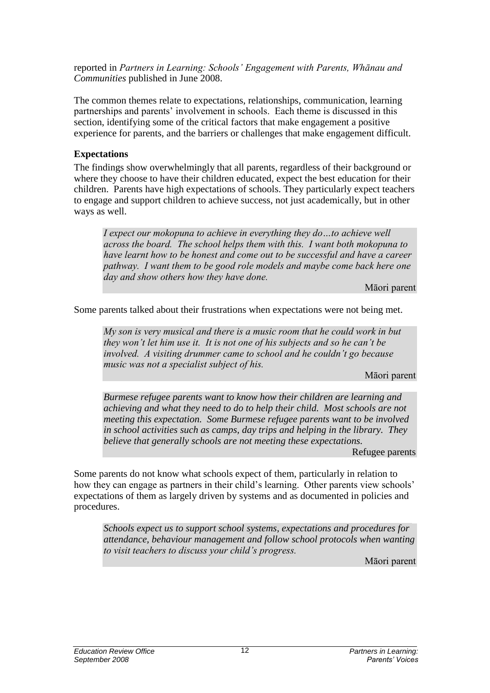reported in *Partners in Learning: Schools" Engagement with Parents, Whānau and Communities* published in June 2008.

The common themes relate to expectations, relationships, communication, learning partnerships and parents' involvement in schools. Each theme is discussed in this section, identifying some of the critical factors that make engagement a positive experience for parents, and the barriers or challenges that make engagement difficult.

#### **Expectations**

The findings show overwhelmingly that all parents, regardless of their background or where they choose to have their children educated, expect the best education for their children. Parents have high expectations of schools. They particularly expect teachers to engage and support children to achieve success, not just academically, but in other ways as well.

I expect our mokopuna to achieve in everything they do…to achieve well across the board. The school helps them with this. I want both mokopuna to have learnt how to be honest and come out to be successful and have a career pathway. I want them to be good role models and maybe come back here one day and show others how they have done.

Māori parent

Some parents talked about their frustrations when expectations were not being met.

My son is very musical and there is a music room that he could work in but they won't let him use it. It is not one of his subjects and so he can't be involved. A visiting drummer came to school and he couldn't go because music was not a specialist subject of his.

Māori parent

*Burmese refugee parents want to know how their children are learning and achieving and what they need to do to help their child. Most schools are not meeting this expectation. Some Burmese refugee parents want to be involved in school activities such as camps, day trips and helping in the library. They believe that generally schools are not meeting these expectations.*

Refugee parents

Some parents do not know what schools expect of them, particularly in relation to how they can engage as partners in their child's learning. Other parents view schools' expectations of them as largely driven by systems and as documented in policies and procedures.

*Schools expect us to support school systems, expectations and procedures for attendance, behaviour management and follow school protocols when wanting to visit teachers to discuss your child"s progress.*

Māori parent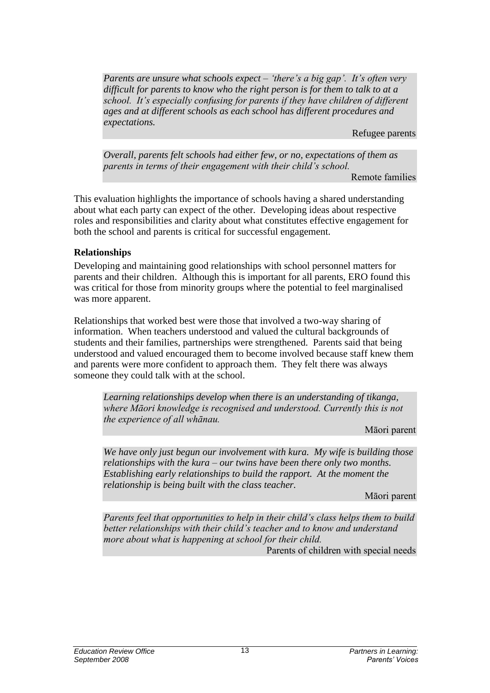*Parents are unsure what schools expect – "there"s a big gap". It"s often very difficult for parents to know who the right person is for them to talk to at a school. It"s especially confusing for parents if they have children of different ages and at different schools as each school has different procedures and expectations.* 

Refugee parents

*Overall, parents felt schools had either few, or no, expectations of them as parents in terms of their engagement with their child"s school.*

Remote families

This evaluation highlights the importance of schools having a shared understanding about what each party can expect of the other. Developing ideas about respective roles and responsibilities and clarity about what constitutes effective engagement for both the school and parents is critical for successful engagement.

#### **Relationships**

Developing and maintaining good relationships with school personnel matters for parents and their children. Although this is important for all parents, ERO found this was critical for those from minority groups where the potential to feel marginalised was more apparent.

Relationships that worked best were those that involved a two-way sharing of information. When teachers understood and valued the cultural backgrounds of students and their families, partnerships were strengthened. Parents said that being understood and valued encouraged them to become involved because staff knew them and parents were more confident to approach them. They felt there was always someone they could talk with at the school.

*Learning relationships develop when there is an understanding of tikanga, where Māori knowledge is recognised and understood. Currently this is not the experience of all whānau.*

Māori parent

*We have only just begun our involvement with kura. My wife is building those relationships with the kura – our twins have been there only two months. Establishing early relationships to build the rapport. At the moment the relationship is being built with the class teacher.*

Māori parent

Parents feel that opportunities to help in their child's class helps them to build better relationships with their child's teacher and to know and understand more about what is happening at school for their child.

Parents of children with special needs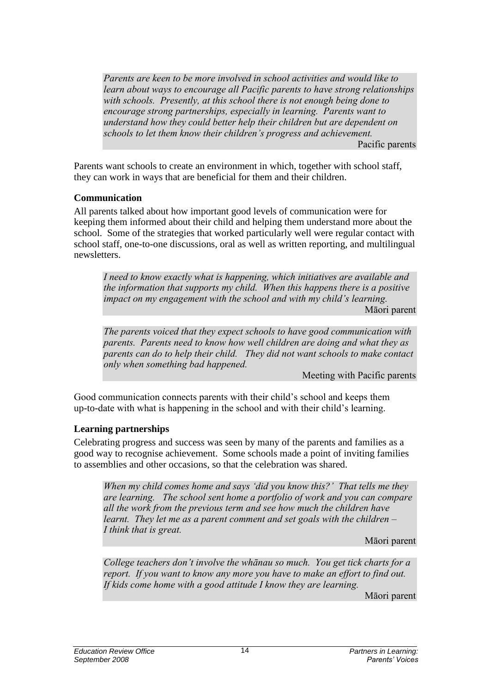Parents are keen to be more involved in school activities and would like to learn about ways to encourage all Pacific parents to have strong relationships with schools. Presently, at this school there is not enough being done to encourage strong partnerships, especially in learning. Parents want to understand how they could better help their children but are dependent on schools to let them know their children's progress and achievement. Pacific parents

Parents want schools to create an environment in which, together with school staff, they can work in ways that are beneficial for them and their children.

#### **Communication**

All parents talked about how important good levels of communication were for keeping them informed about their child and helping them understand more about the school. Some of the strategies that worked particularly well were regular contact with school staff, one-to-one discussions, oral as well as written reporting, and multilingual newsletters.

I need to know exactly what is happening, which initiatives are available and the information that supports my child. When this happens there is a positive impact on my engagement with the school and with my child's learning. Māori parent

The parents voiced that they expect schools to have good communication with parents. Parents need to know how well children are doing and what they as parents can do to help their child. They did not want schools to make contact only when something bad happened.

Meeting with Pacific parents

Good communication connects parents with their child"s school and keeps them up-to-date with what is happening in the school and with their child"s learning.

#### **Learning partnerships**

Celebrating progress and success was seen by many of the parents and families as a good way to recognise achievement. Some schools made a point of inviting families to assemblies and other occasions, so that the celebration was shared.

When my child comes home and says 'did you know this?' That tells me they are learning. The school sent home a portfolio of work and you can compare all the work from the previous term and see how much the children have learnt. They let me as a parent comment and set goals with the children – I think that is great.

Māori parent

College teachers don't involve the whānau so much. You get tick charts for a report. If you want to know any more you have to make an effort to find out. If kids come home with a good attitude I know they are learning.

Māori parent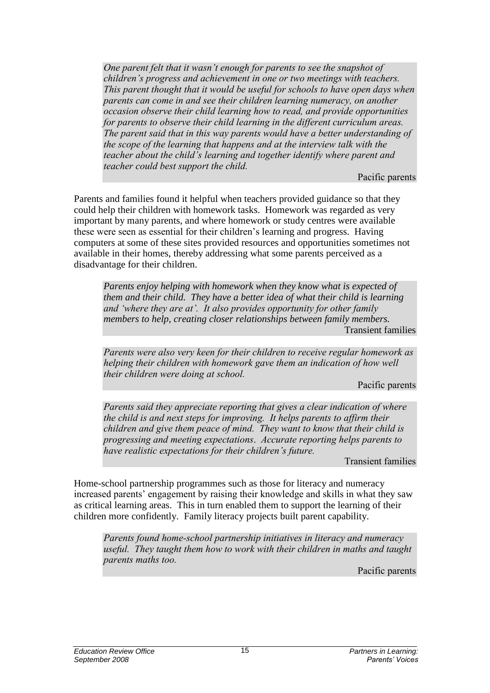One parent felt that it wasn't enough for parents to see the snapshot of children's progress and achievement in one or two meetings with teachers. This parent thought that it would be useful for schools to have open days when parents can come in and see their children learning numeracy, on another occasion observe their child learning how to read, and provide opportunities for parents to observe their child learning in the different curriculum areas. The parent said that in this way parents would have a better understanding of the scope of the learning that happens and at the interview talk with the teacher about the child's learning and together identify where parent and teacher could best support the child.

Pacific parents

Parents and families found it helpful when teachers provided guidance so that they could help their children with homework tasks. Homework was regarded as very important by many parents, and where homework or study centres were available these were seen as essential for their children"s learning and progress. Having computers at some of these sites provided resources and opportunities sometimes not available in their homes, thereby addressing what some parents perceived as a disadvantage for their children.

*Parents enjoy helping with homework when they know what is expected of them and their child. They have a better idea of what their child is learning and "where they are at". It also provides opportunity for other family members to help, creating closer relationships between family members.* Transient families

Parents were also very keen for their children to receive regular homework as helping their children with homework gave them an indication of how well their children were doing at school.

Pacific parents

Parents said they appreciate reporting that gives a clear indication of where the child is and next steps for improving. It helps parents to affirm their children and give them peace of mind. They want to know that their child is progressing and meeting expectations. Accurate reporting helps parents to have realistic expectations for their children's future.

Transient families

Home-school partnership programmes such as those for literacy and numeracy increased parents' engagement by raising their knowledge and skills in what they saw as critical learning areas. This in turn enabled them to support the learning of their children more confidently. Family literacy projects built parent capability.

Parents found home-school partnership initiatives in literacy and numeracy useful. They taught them how to work with their children in maths and taught parents maths too.

Pacific parents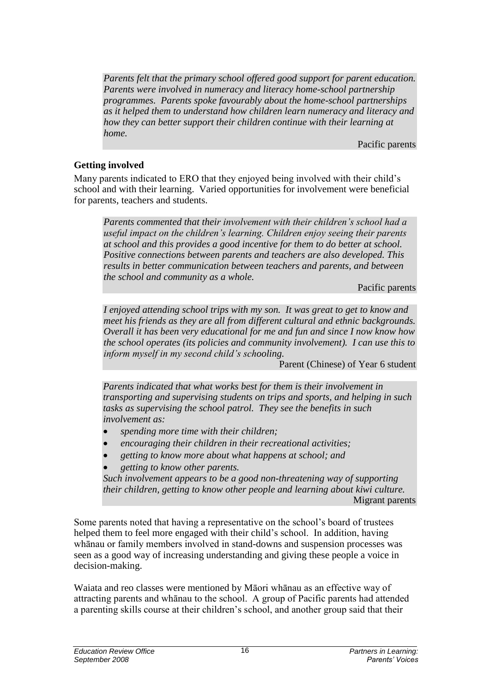*Parents felt that the primary school offered good support for parent education. Parents were involved in numeracy and literacy home-school partnership programmes. Parents spoke favourably about the home-school partnerships as it helped them to understand how children learn numeracy and literacy and how they can better support their children continue with their learning at home.* 

Pacific parents

## **Getting involved**

Many parents indicated to ERO that they enjoyed being involved with their child"s school and with their learning. Varied opportunities for involvement were beneficial for parents, teachers and students.

*Parents commented that their involvement with their children"s school had a useful impact on the children"s learning. Children enjoy seeing their parents at school and this provides a good incentive for them to do better at school. Positive connections between parents and teachers are also developed. This results in better communication between teachers and parents, and between the school and community as a whole.* 

#### Pacific parents

*I enjoyed attending school trips with my son. It was great to get to know and meet his friends as they are all from different cultural and ethnic backgrounds. Overall it has been very educational for me and fun and since I now know how the school operates (its policies and community involvement). I can use this to inform myself in my second child"s schooling.* 

Parent (Chinese) of Year 6 student

*Parents indicated that what works best for them is their involvement in transporting and supervising students on trips and sports, and helping in such tasks as supervising the school patrol. They see the benefits in such involvement as:*

- *spending more time with their children;*
- *encouraging their children in their recreational activities;*
- *getting to know more about what happens at school; and*
- *getting to know other parents.*

*Such involvement appears to be a good non-threatening way of supporting their children, getting to know other people and learning about kiwi culture.*  Migrant parents

Some parents noted that having a representative on the school"s board of trustees helped them to feel more engaged with their child"s school. In addition, having whānau or family members involved in stand-downs and suspension processes was seen as a good way of increasing understanding and giving these people a voice in decision-making.

Waiata and reo classes were mentioned by Māori whānau as an effective way of attracting parents and whānau to the school. A group of Pacific parents had attended a parenting skills course at their children"s school, and another group said that their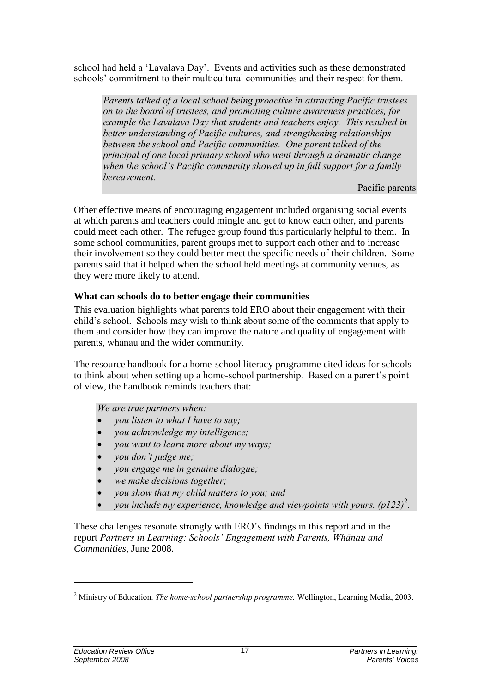school had held a "Lavalava Day". Events and activities such as these demonstrated schools' commitment to their multicultural communities and their respect for them.

Parents talked of a local school being proactive in attracting Pacific trustees on to the board of trustees, and promoting culture awareness practices, for example the Lavalava Day that students and teachers enjoy. This resulted in better understanding of Pacific cultures, and strengthening relationships between the school and Pacific communities. One parent talked of the principal of one local primary school who went through a dramatic change when the school's Pacific community showed up in full support for a family bereavement.

Pacific parents

Other effective means of encouraging engagement included organising social events at which parents and teachers could mingle and get to know each other, and parents could meet each other. The refugee group found this particularly helpful to them. In some school communities, parent groups met to support each other and to increase their involvement so they could better meet the specific needs of their children. Some parents said that it helped when the school held meetings at community venues, as they were more likely to attend.

#### **What can schools do to better engage their communities**

This evaluation highlights what parents told ERO about their engagement with their child"s school. Schools may wish to think about some of the comments that apply to them and consider how they can improve the nature and quality of engagement with parents, whānau and the wider community.

The resource handbook for a home-school literacy programme cited ideas for schools to think about when setting up a home-school partnership. Based on a parent"s point of view, the handbook reminds teachers that:

We are true partners when:

- you listen to what I have to say;
- you acknowledge my intelligence;
- you want to learn more about my ways;
- you don't judge me;
- you engage me in genuine dialogue;
- we make decisions together;
- you show that my child matters to you; and
- you include my experience, knowledge and viewpoints with yours.  $(p123)^2$ .

These challenges resonate strongly with ERO"s findings in this report and in the report *Partners in Learning: Schools" Engagement with Parents, Whānau and Communities*, June 2008.

l

 $2$  Ministry of Education. The home-school partnership programme. Wellington, Learning Media, 2003.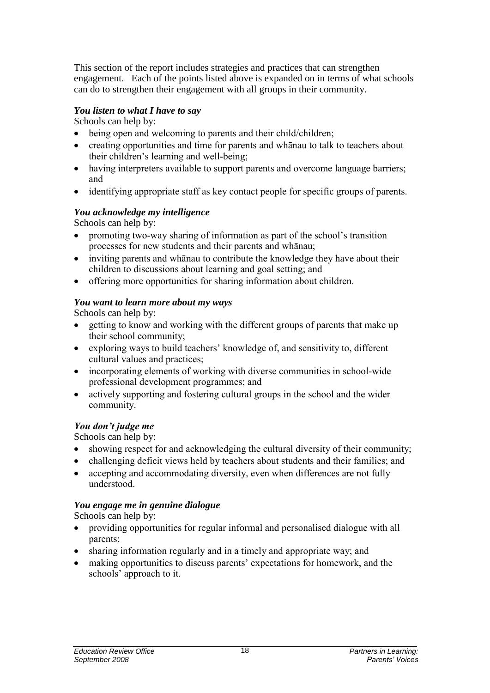This section of the report includes strategies and practices that can strengthen engagement. Each of the points listed above is expanded on in terms of what schools can do to strengthen their engagement with all groups in their community.

#### *You listen to what I have to say*

Schools can help by:

- being open and welcoming to parents and their child/children;
- creating opportunities and time for parents and whanau to talk to teachers about their children's learning and well-being;
- having interpreters available to support parents and overcome language barriers; and
- identifying appropriate staff as key contact people for specific groups of parents.

#### *You acknowledge my intelligence*

Schools can help by:

- promoting two-way sharing of information as part of the school's transition processes for new students and their parents and whānau;
- inviting parents and whānau to contribute the knowledge they have about their children to discussions about learning and goal setting; and
- offering more opportunities for sharing information about children.

#### *You want to learn more about my ways*

Schools can help by:

- getting to know and working with the different groups of parents that make up their school community;
- exploring ways to build teachers' knowledge of, and sensitivity to, different cultural values and practices;
- incorporating elements of working with diverse communities in school-wide professional development programmes; and
- actively supporting and fostering cultural groups in the school and the wider community.

## *You don't judge me*

Schools can help by:

- showing respect for and acknowledging the cultural diversity of their community;
- challenging deficit views held by teachers about students and their families; and
- accepting and accommodating diversity, even when differences are not fully understood.

#### *You engage me in genuine dialogue*

Schools can help by:

- providing opportunities for regular informal and personalised dialogue with all parents;
- sharing information regularly and in a timely and appropriate way; and
- making opportunities to discuss parents' expectations for homework, and the schools' approach to it.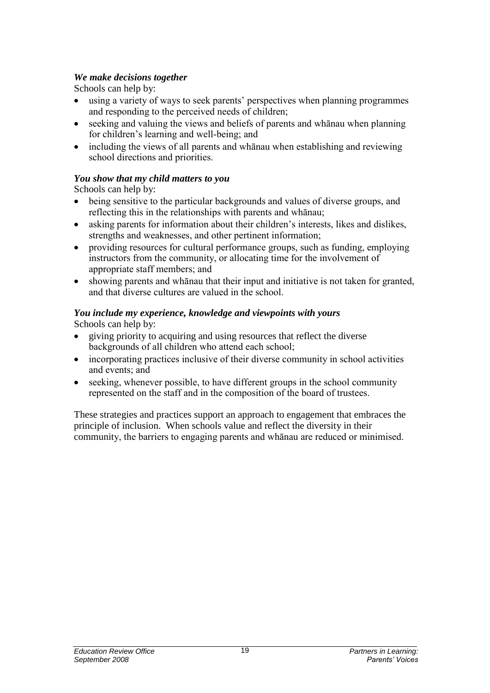## *We make decisions together*

Schools can help by:

- using a variety of ways to seek parents' perspectives when planning programmes and responding to the perceived needs of children;
- seeking and valuing the views and beliefs of parents and whānau when planning for children's learning and well-being; and
- including the views of all parents and whānau when establishing and reviewing school directions and priorities.

## *You show that my child matters to you*

Schools can help by:

- being sensitive to the particular backgrounds and values of diverse groups, and reflecting this in the relationships with parents and whānau;
- asking parents for information about their children's interests, likes and dislikes, strengths and weaknesses, and other pertinent information;
- providing resources for cultural performance groups, such as funding, employing instructors from the community, or allocating time for the involvement of appropriate staff members; and
- showing parents and whānau that their input and initiative is not taken for granted, and that diverse cultures are valued in the school.

# *You include my experience, knowledge and viewpoints with yours*

Schools can help by:

- giving priority to acquiring and using resources that reflect the diverse backgrounds of all children who attend each school;
- incorporating practices inclusive of their diverse community in school activities and events; and
- seeking, whenever possible, to have different groups in the school community represented on the staff and in the composition of the board of trustees.

These strategies and practices support an approach to engagement that embraces the principle of inclusion. When schools value and reflect the diversity in their community, the barriers to engaging parents and whānau are reduced or minimised.